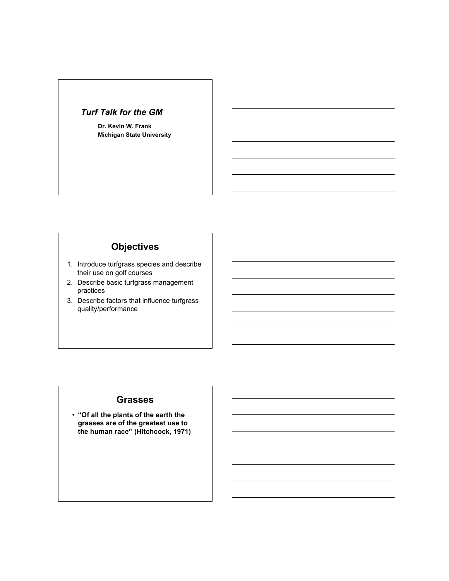#### *Turf Talk for the GM*

**Dr. Kevin W. Frank Michigan State University**

# **Objectives**

- 1. Introduce turfgrass species and describe their use on golf courses
- 2. Describe basic turfgrass management practices
- 3. Describe factors that influence turfgrass quality/performance

#### **Grasses**

• **"Of all the plants of the earth the grasses are of the greatest use to the human race" (Hitchcock, 1971)**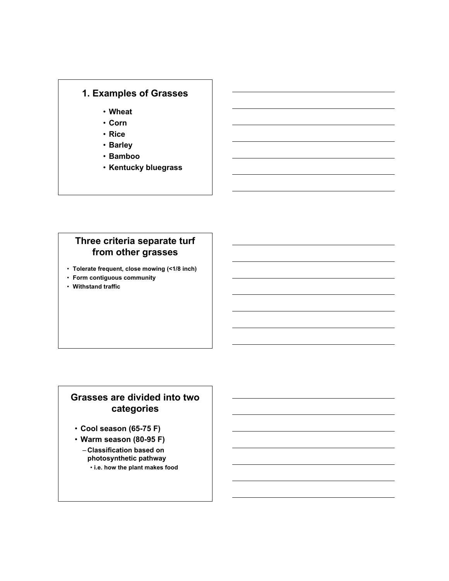# **1. Examples of Grasses**

- **Wheat**
- **Corn**
- **Rice**
- **Barley**
- **Bamboo**
- **Kentucky bluegrass**

# **Three criteria separate turf from other grasses**

- **Tolerate frequent, close mowing (<1/8 inch)**
- **Form contiguous community**
- **Withstand traffic**

# **Grasses are divided into two categories**

- **Cool season (65-75 F)**
- **Warm season (80-95 F)**
	- **Classification based on photosynthetic pathway**
		- **i.e. how the plant makes food**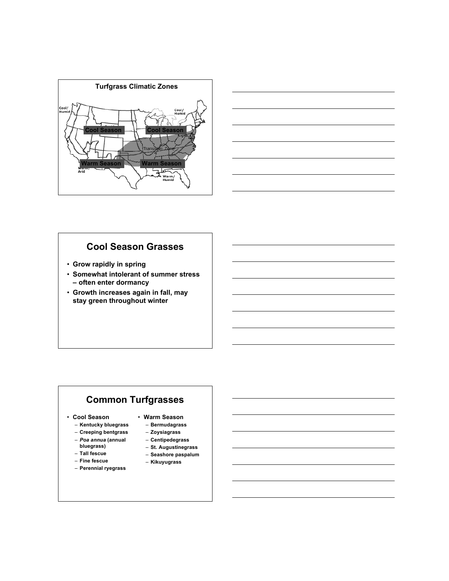



#### **Cool Season Grasses**

- **Grow rapidly in spring**
- **Somewhat intolerant of summer stress – often enter dormancy**
- **Growth increases again in fall, may stay green throughout winter**

# **Common Turfgrasses**

#### • **Cool Season**

- **Kentucky bluegrass**
- **Creeping bentgrass**
- *Poa annua* **(annual**
- **bluegrass)**
- **Tall fescue**
- **Fine fescue**
- **Perennial ryegrass**
- **Warm Season**
	- **Bermudagrass**
	- **Zoysiagrass**
	- **Centipedegrass**
	- **St. Augustinegrass**
	- **Seashore paspalum**
	- **Kikuyugrass**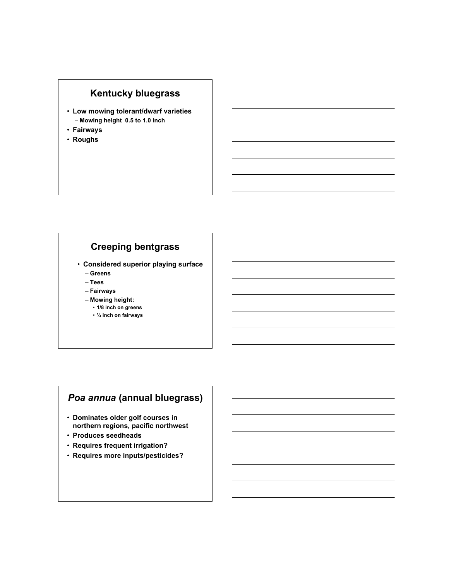# **Kentucky bluegrass**

- **Low mowing tolerant/dwarf varieties** – **Mowing height 0.5 to 1.0 inch**
- **Fairways**
- **Roughs**

### **Creeping bentgrass**

- **Considered superior playing surface** – **Greens**
	- **Tees**
	- **Fairways**
	- **Mowing height:**
		- **1/8 inch on greens**
		- **¼ inch on fairways**

# *Poa annua* **(annual bluegrass)**

- **Dominates older golf courses in northern regions, pacific northwest**
- **Produces seedheads**
- **Requires frequent irrigation?**
- **Requires more inputs/pesticides?**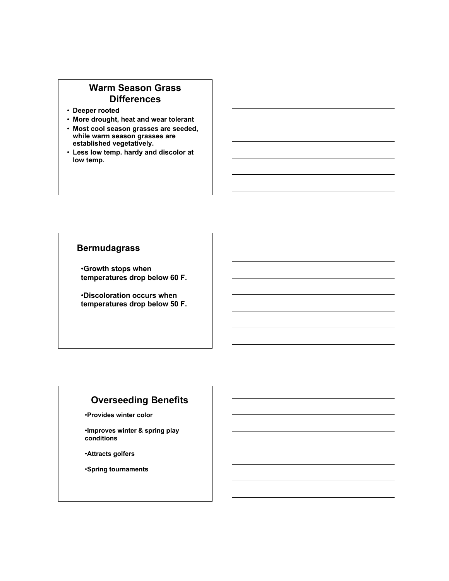## **Warm Season Grass Differences**

- **Deeper rooted**
- **More drought, heat and wear tolerant**
- **Most cool season grasses are seeded, while warm season grasses are established vegetatively.**
- **Less low temp. hardy and discolor at low temp.**

### **Bermudagrass**

•**Growth stops when temperatures drop below 60 F.**

•**Discoloration occurs when temperatures drop below 50 F.**

# **Overseeding Benefits**

•**Provides winter color**

•**Improves winter & spring play conditions**

•**Attracts golfers**

•**Spring tournaments**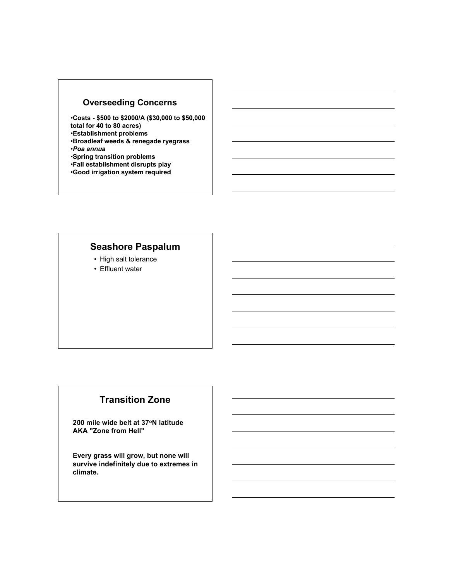## **Overseeding Concerns**

•**Costs - \$500 to \$2000/A (\$30,000 to \$50,000 total for 40 to 80 acres)**

•**Establishment problems**

•**Broadleaf weeds & renegade ryegrass**

- •*Poa annua*
- •**Spring transition problems**
- •**Fall establishment disrupts play**
- •**Good irrigation system required**

# **Seashore Paspalum**

- High salt tolerance
- Effluent water

# **Transition Zone**

**200 mile wide belt at 37oN latitude AKA "Zone from Hell"**

**Every grass will grow, but none will survive indefinitely due to extremes in climate.**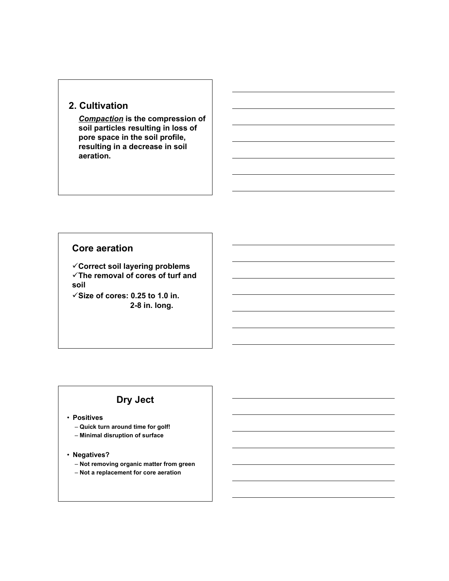# **2. Cultivation**

*Compaction* **is the compression of soil particles resulting in loss of pore space in the soil profile, resulting in a decrease in soil aeration.**

#### **Core aeration**

**Correct soil layering problems The removal of cores of turf and soil**

 $\checkmark$  Size of cores: 0.25 to 1.0 in.  **2-8 in. long.**

# **Dry Ject**

• **Positives**

– **Quick turn around time for golf!** – **Minimal disruption of surface**

• **Negatives?**

– **Not removing organic matter from green**

– **Not a replacement for core aeration**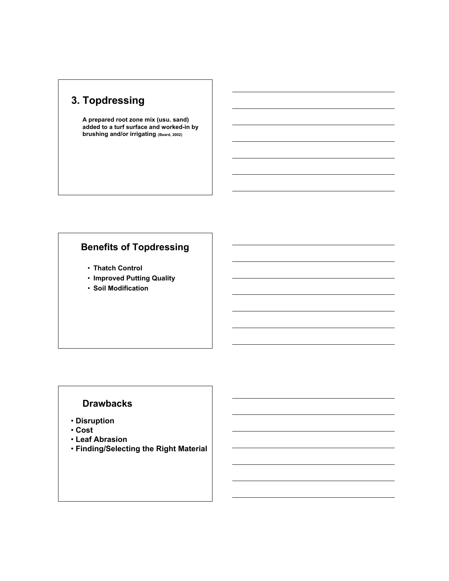# **3. Topdressing**

**A prepared root zone mix (usu. sand) added to a turf surface and worked-in by brushing and/or irrigating (Beard, 2002)**

# **Benefits of Topdressing**

- **Thatch Control**
- **Improved Putting Quality**
- **Soil Modification**

### **Drawbacks**

- • **Disruption**
- • **Cost**
- • **Leaf Abrasion**
- • **Finding/Selecting the Right Material**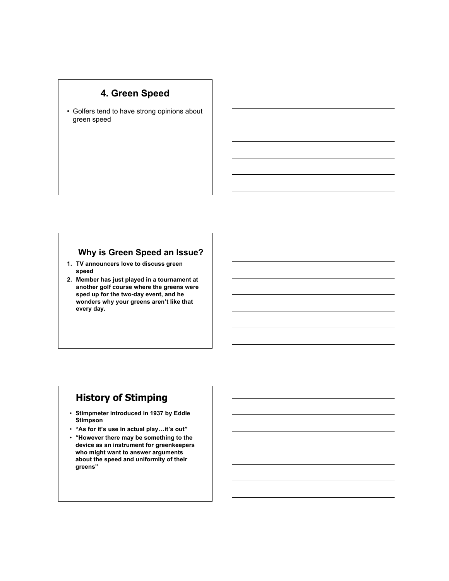# **4. Green Speed**

• Golfers tend to have strong opinions about green speed

#### **Why is Green Speed an Issue?**

- **1. TV announcers love to discuss green speed**
- **2. Member has just played in a tournament at another golf course where the greens were sped up for the two-day event, and he wonders why your greens aren't like that every day.**

# **History of Stimping**

- **Stimpmeter introduced in 1937 by Eddie Stimpson**
- **"As for it's use in actual play…it's out"**
- **"However there may be something to the device as an instrument for greenkeepers who might want to answer arguments about the speed and uniformity of their greens"**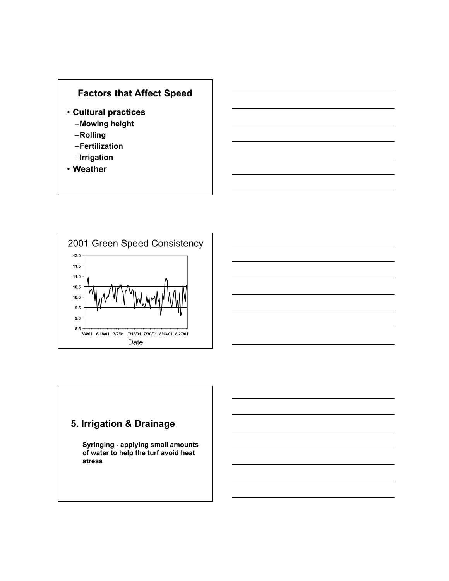# **Factors that Affect Speed**

- **Cultural practices**
	- –**Mowing height**
	- –**Rolling**
	- –**Fertilization**
	- –**Irrigation**
- **Weather**



# **5. Irrigation & Drainage**

**Syringing - applying small amounts of water to help the turf avoid heat stress**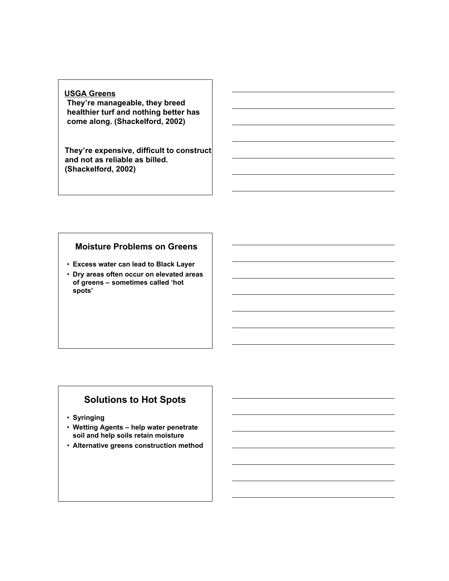#### **USGA Greens**

**They're manageable, they breed healthier turf and nothing better has come along. (Shackelford, 2002)**

**They're expensive, difficult to construct and not as reliable as billed. (Shackelford, 2002)**

#### **Moisture Problems on Greens**

- **Excess water can lead to Black Layer**
- **Dry areas often occur on elevated areas of greens – sometimes called 'hot spots'**

# **Solutions to Hot Spots**

- **Syringing**
- **Wetting Agents – help water penetrate soil and help soils retain moisture**
- **Alternative greens construction method**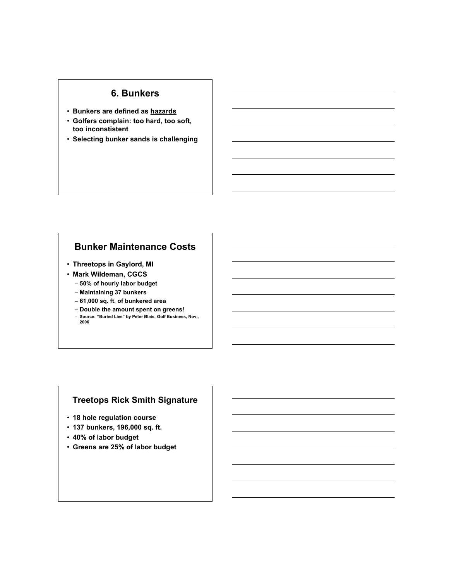### **6. Bunkers**

- **Bunkers are defined as hazards**
- **Golfers complain: too hard, too soft, too inconstistent**
- **Selecting bunker sands is challenging**

#### **Bunker Maintenance Costs**

- **Threetops in Gaylord, MI**
- **Mark Wildeman, CGCS**
	- **50% of hourly labor budget** – **Maintaining 37 bunkers**
	- **61,000 sq. ft. of bunkered area**
	- **Double the amount spent on greens!**
	- **Source: "Buried Lies" by Peter Blais, Golf Business, Nov., 2006**

#### **Treetops Rick Smith Signature**

- **18 hole regulation course**
- **137 bunkers, 196,000 sq. ft.**
- **40% of labor budget**
- **Greens are 25% of labor budget**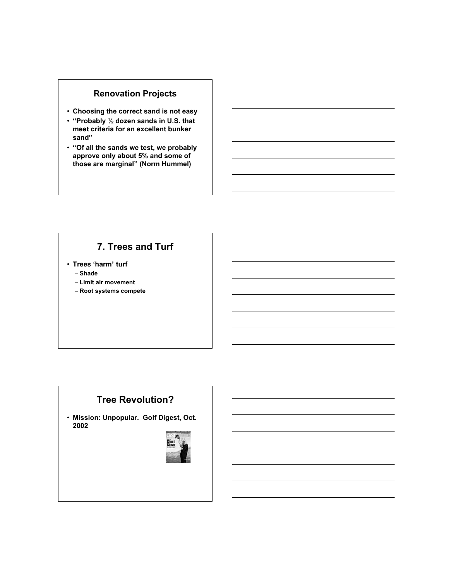### **Renovation Projects**

- **Choosing the correct sand is not easy**
- **"Probably ½ dozen sands in U.S. that meet criteria for an excellent bunker sand"**
- **"Of all the sands we test, we probably approve only about 5% and some of those are marginal" (Norm Hummel)**

# **7. Trees and Turf**

• **Trees 'harm' turf**

– **Shade**

- **Limit air movement**
- **Root systems compete**

# **Tree Revolution?**

• **Mission: Unpopular. Golf Digest, Oct. 2002**

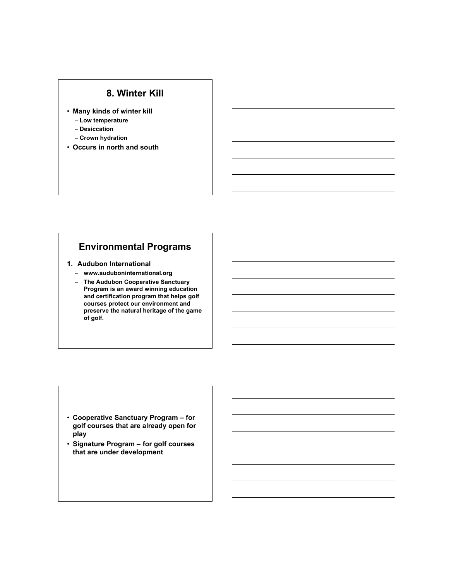#### **8. Winter Kill**

- **Many kinds of winter kill**
	- **Low temperature**
	- **Desiccation**
	- **Crown hydration**
- **Occurs in north and south**

### **Environmental Programs**

#### **1. Audubon International**

- **www.auduboninternational.org**
- **The Audubon Cooperative Sanctuary Program is an award winning education and certification program that helps golf courses protect our environment and preserve the natural heritage of the game of golf.**

- **Cooperative Sanctuary Program – for golf courses that are already open for play**
- **Signature Program – for golf courses that are under development**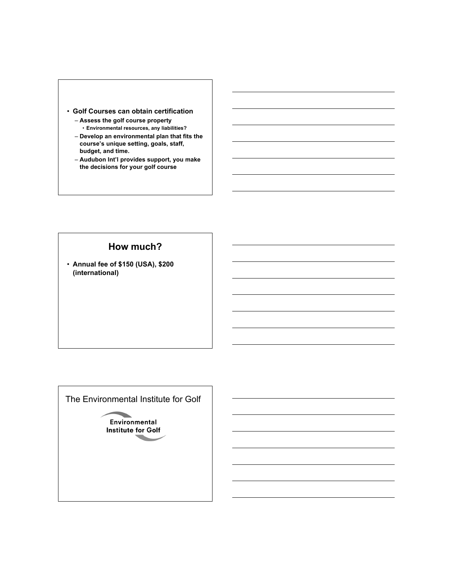- **Golf Courses can obtain certification**
	- **Assess the golf course property** • **Environmental resources, any liabilities?**
	- **Develop an environmental plan that fits the course's unique setting, goals, staff, budget, and time.**
	- **Audubon Int'l provides support, you make the decisions for your golf course**

### **How much?**

• **Annual fee of \$150 (USA), \$200 (international)**

The Environmental Institute for Golf

**Environmental Institute for Golf**